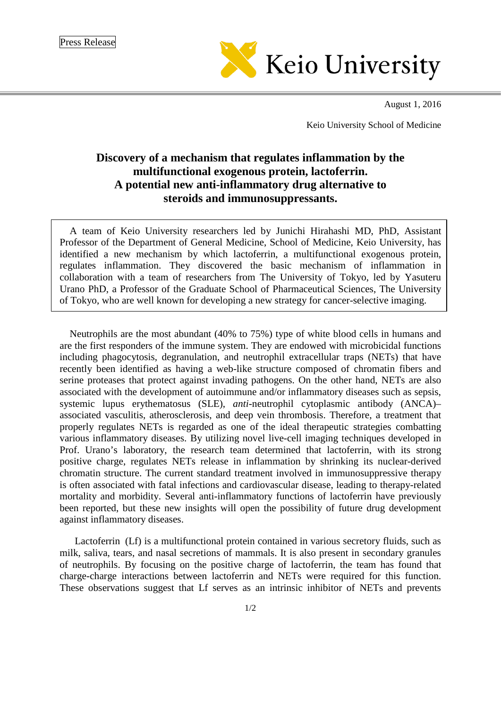

August 1, 2016

Keio University School of Medicine

## **Discovery of a mechanism that regulates inflammation by the multifunctional exogenous protein, lactoferrin. A potential new anti-inflammatory drug alternative to steroids and immunosuppressants.**

A team of Keio University researchers led by Junichi Hirahashi MD, PhD, Assistant Professor of the Department of General Medicine, School of Medicine, Keio University, has identified a new mechanism by which lactoferrin, a multifunctional exogenous protein, regulates inflammation. They discovered the basic mechanism of inflammation in collaboration with a team of researchers from The University of Tokyo, led by Yasuteru Urano PhD, a Professor of the Graduate School of Pharmaceutical Sciences, The University of Tokyo, who are well known for developing a new strategy for cancer-selective imaging.

Neutrophils are the most abundant (40% to 75%) type of [white blood cells](https://en.wikipedia.org/wiki/White_blood_cell) in humans and are the first responders of the immune system. They are endowed with microbicidal functions including phagocytosis, degranulation, and neutrophil extracellular traps (NETs) that have recently been identified as having a web-like structure composed of chromatin fibers and serine proteases that protect against invading pathogens. On the other hand, NETs are also associated with the development of autoimmune and/or inflammatory diseases such as sepsis, systemic lupus erythematosus (SLE), *anti*-neutrophil cytoplasmic antibody (ANCA)– associated vasculitis, atherosclerosis, and deep vein thrombosis. Therefore, a treatment that properly regulates NETs is regarded as one of the ideal therapeutic strategies combatting various inflammatory diseases. By utilizing novel live-cell imaging techniques developed in Prof. Urano's laboratory, the research team determined that lactoferrin, with its strong positive charge, regulates NETs release in inflammation by shrinking its nuclear-derived chromatin structure. The current standard treatment involved in immunosuppressive therapy is often associated with fatal infections and cardiovascular disease, leading to therapy-related mortality and morbidity. Several anti-inflammatory functions of lactoferrin have previously been reported, but these new insights will open the possibility of future drug development against inflammatory diseases.

Lactoferrin (Lf) is a multifunctional protein contained in various secretory fluids, such as [milk,](https://en.wikipedia.org/wiki/Milk) [saliva,](https://en.wikipedia.org/wiki/Saliva) [tears,](https://en.wikipedia.org/wiki/Tears) and [nasal secretions](https://en.wikipedia.org/wiki/Mucus) of mammals. It is also present in secondary granules of neutrophils. By focusing on the positive charge of lactoferrin, the team has found that charge-charge interactions between lactoferrin and NETs were required for this function. These observations suggest that Lf serves as an intrinsic inhibitor of NETs and prevents